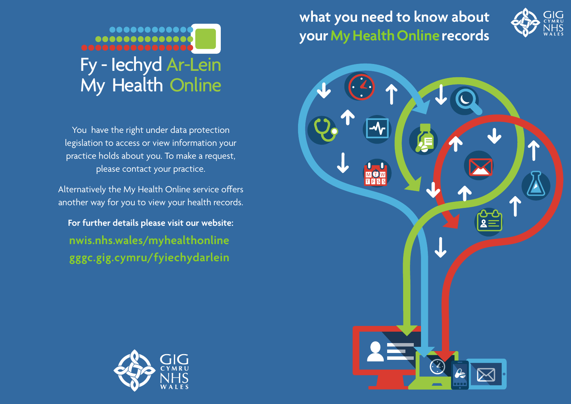# ........... Fy - Iechyd Ar-Lein My Health Online

You have the right under data protection legislation to access or view information your practice holds about you. To make a request, please contact your practice.

Alternatively the My Health Online service offers another way for you to view your health records.

**For further details please visit our website: nwis.nhs.wales/myhealthonline gggc.gig.cymru/fyiechydarlein**



**what you need to know about yourMy Health Onlinerecords**